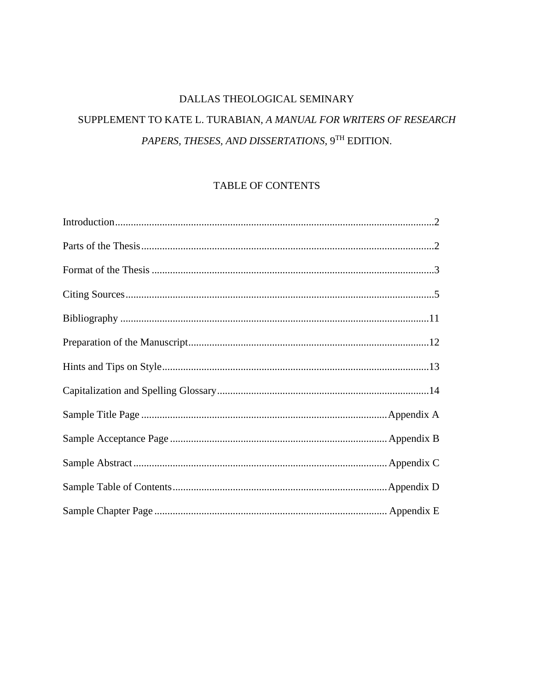# DALLAS THEOLOGICAL SEMINARY

# SUPPLEMENT TO KATE L. TURABIAN, A MANUAL FOR WRITERS OF RESEARCH PAPERS, THESES, AND DISSERTATIONS, 9TH EDITION.

## TABLE OF CONTENTS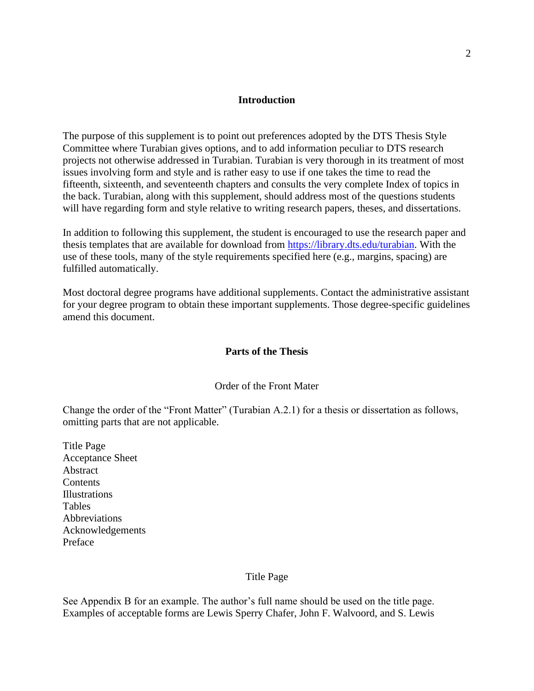#### **Introduction**

The purpose of this supplement is to point out preferences adopted by the DTS Thesis Style Committee where Turabian gives options, and to add information peculiar to DTS research projects not otherwise addressed in Turabian. Turabian is very thorough in its treatment of most issues involving form and style and is rather easy to use if one takes the time to read the fifteenth, sixteenth, and seventeenth chapters and consults the very complete Index of topics in the back. Turabian, along with this supplement, should address most of the questions students will have regarding form and style relative to writing research papers, theses, and dissertations.

In addition to following this supplement, the student is encouraged to use the research paper and thesis templates that are available for download from [https://library.dts.edu/turabian.](https://library.dts.edu/turabian) With the use of these tools, many of the style requirements specified here (e.g., margins, spacing) are fulfilled automatically.

Most doctoral degree programs have additional supplements. Contact the administrative assistant for your degree program to obtain these important supplements. Those degree-specific guidelines amend this document.

## **Parts of the Thesis**

#### Order of the Front Mater

Change the order of the "Front Matter" (Turabian A.2.1) for a thesis or dissertation as follows, omitting parts that are not applicable.

Title Page Acceptance Sheet Abstract **Contents** Illustrations Tables **Abbreviations** Acknowledgements Preface

#### Title Page

See Appendix B for an example. The author's full name should be used on the title page. Examples of acceptable forms are Lewis Sperry Chafer, John F. Walvoord, and S. Lewis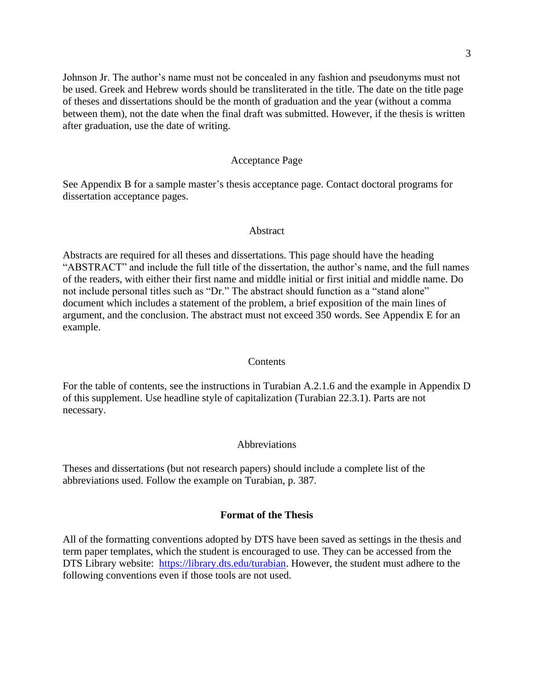Johnson Jr. The author's name must not be concealed in any fashion and pseudonyms must not be used. Greek and Hebrew words should be transliterated in the title. The date on the title page of theses and dissertations should be the month of graduation and the year (without a comma between them), not the date when the final draft was submitted. However, if the thesis is written after graduation, use the date of writing.

### Acceptance Page

See Appendix B for a sample master's thesis acceptance page. Contact doctoral programs for dissertation acceptance pages.

#### Abstract

Abstracts are required for all theses and dissertations. This page should have the heading "ABSTRACT" and include the full title of the dissertation, the author's name, and the full names of the readers, with either their first name and middle initial or first initial and middle name. Do not include personal titles such as "Dr." The abstract should function as a "stand alone" document which includes a statement of the problem, a brief exposition of the main lines of argument, and the conclusion. The abstract must not exceed 350 words. See Appendix E for an example.

#### **Contents**

For the table of contents, see the instructions in Turabian A.2.1.6 and the example in Appendix D of this supplement. Use headline style of capitalization (Turabian 22.3.1). Parts are not necessary.

#### Abbreviations

Theses and dissertations (but not research papers) should include a complete list of the abbreviations used. Follow the example on Turabian, p. 387.

#### **Format of the Thesis**

All of the formatting conventions adopted by DTS have been saved as settings in the thesis and term paper templates, which the student is encouraged to use. They can be accessed from the DTS Library website: [https://library.dts.edu/turabian.](https://library.dts.edu/turabian) However, the student must adhere to the following conventions even if those tools are not used.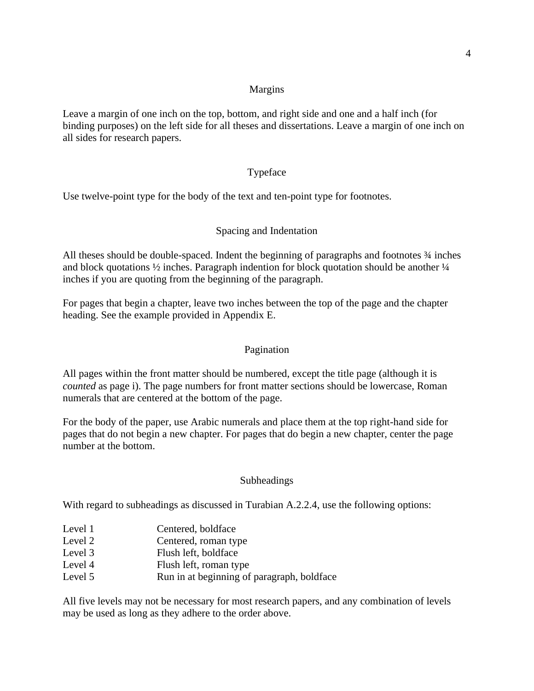## Margins

Leave a margin of one inch on the top, bottom, and right side and one and a half inch (for binding purposes) on the left side for all theses and dissertations. Leave a margin of one inch on all sides for research papers.

## Typeface

Use twelve-point type for the body of the text and ten-point type for footnotes.

## Spacing and Indentation

All theses should be double-spaced. Indent the beginning of paragraphs and footnotes ¾ inches and block quotations  $\frac{1}{2}$  inches. Paragraph indention for block quotation should be another  $\frac{1}{4}$ inches if you are quoting from the beginning of the paragraph.

For pages that begin a chapter, leave two inches between the top of the page and the chapter heading. See the example provided in Appendix E.

## Pagination

All pages within the front matter should be numbered, except the title page (although it is *counted* as page i). The page numbers for front matter sections should be lowercase, Roman numerals that are centered at the bottom of the page.

For the body of the paper, use Arabic numerals and place them at the top right-hand side for pages that do not begin a new chapter. For pages that do begin a new chapter, center the page number at the bottom.

## Subheadings

With regard to subheadings as discussed in Turabian A.2.2.4, use the following options:

- Level 1 Centered, boldface
- Level 2 Centered, roman type
- Level 3 Flush left, boldface
- Level 4 Flush left, roman type
- Level 5 Run in at beginning of paragraph, boldface

All five levels may not be necessary for most research papers, and any combination of levels may be used as long as they adhere to the order above.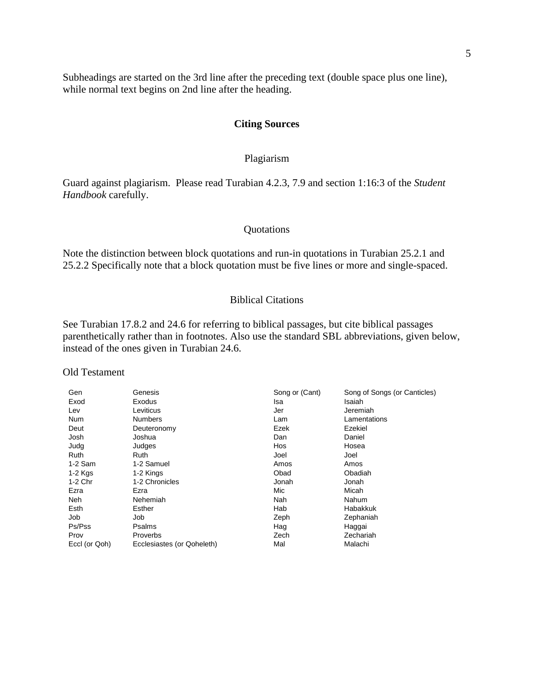Subheadings are started on the 3rd line after the preceding text (double space plus one line), while normal text begins on 2nd line after the heading.

#### **Citing Sources**

## Plagiarism

Guard against plagiarism. Please read Turabian 4.2.3, 7.9 and section 1:16:3 of the *Student Handbook* carefully.

#### Quotations

Note the distinction between block quotations and run-in quotations in Turabian 25.2.1 and 25.2.2 Specifically note that a block quotation must be five lines or more and single-spaced.

## Biblical Citations

See Turabian 17.8.2 and 24.6 for referring to biblical passages, but cite biblical passages parenthetically rather than in footnotes. Also use the standard SBL abbreviations, given below, instead of the ones given in Turabian 24.6.

#### Old Testament

| Gen           | Genesis                    | Song or (Cant) | Song of Songs (or Canticles) |
|---------------|----------------------------|----------------|------------------------------|
| Exod          | Exodus                     | Isa            | Isaiah                       |
| Lev           | Leviticus                  | Jer            | Jeremiah                     |
| <b>Num</b>    | <b>Numbers</b>             | Lam            | Lamentations                 |
| Deut          | Deuteronomy                | Ezek           | Ezekiel                      |
| Josh          | Joshua                     | Dan            | Daniel                       |
| Judg          | Judges                     | Hos            | Hosea                        |
| Ruth          | Ruth                       | Joel           | Joel                         |
| $1-2$ Sam     | 1-2 Samuel                 | Amos           | Amos                         |
| $1-2$ Kgs     | 1-2 Kings                  | Obad           | Obadiah                      |
| 1-2 Chr       | 1-2 Chronicles             | Jonah          | Jonah                        |
| Ezra          | Ezra                       | Mic            | Micah                        |
| Neh           | Nehemiah                   | Nah            | Nahum                        |
| Esth          | Esther                     | Hab            | <b>Habakkuk</b>              |
| Job           | Job                        | Zeph           | Zephaniah                    |
| Ps/Pss        | Psalms                     | Hag            | Haggai                       |
| Prov          | <b>Proverbs</b>            | Zech           | Zechariah                    |
| Eccl (or Qoh) | Ecclesiastes (or Qoheleth) | Mal            | Malachi                      |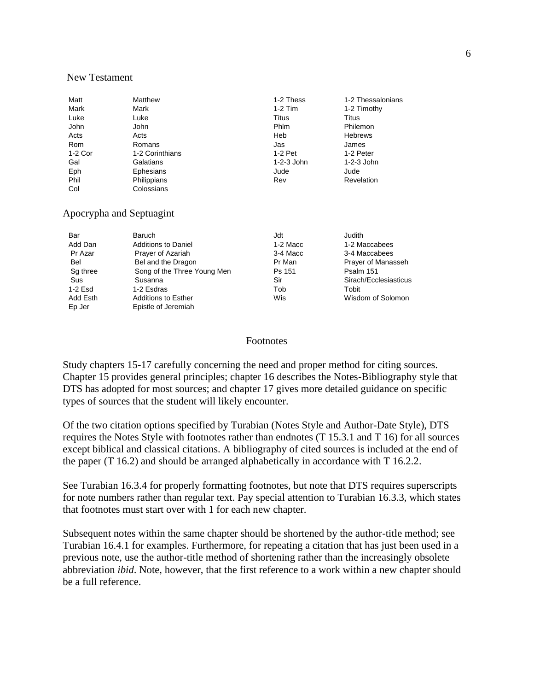#### New Testament

| Matt       | Matthew         | 1-2 Thess   | 1-2 Thessalonians |
|------------|-----------------|-------------|-------------------|
| Mark       | Mark            | $1-2$ Tim   | 1-2 Timothy       |
| Luke       | Luke            | Titus       | Titus             |
| John       | <b>John</b>     | <b>Phlm</b> | Philemon          |
| Acts       | Acts            | Heb         | <b>Hebrews</b>    |
| <b>Rom</b> | Romans          | Jas         | James             |
| 1-2 Cor    | 1-2 Corinthians | $1-2$ Pet   | 1-2 Peter         |
| Gal        | Galatians       | 1-2-3 John  | $1-2-3$ John      |
| Eph        | Ephesians       | Jude        | Jude              |
| Phil       | Philippians     | Rev         | Revelation        |
| Col        | Colossians      |             |                   |

## Apocrypha and Septuagint

| Bar<br>Add Dan | <b>Baruch</b><br><b>Additions to Daniel</b> | Jdt<br>1-2 Macc | Judith<br>1-2 Maccabees |
|----------------|---------------------------------------------|-----------------|-------------------------|
| Pr Azar        | Prayer of Azariah                           | 3-4 Macc        | 3-4 Maccabees           |
| Bel            | Bel and the Dragon                          | Pr Man          | Prayer of Manasseh      |
| Sq three       | Song of the Three Young Men                 | Ps 151          | Psalm 151               |
| Sus            | Susanna                                     | Sir             | Sirach/Ecclesiasticus   |
| 1-2 Esd        | 1-2 Esdras                                  | Tob             | Tobit                   |
| Add Esth       | <b>Additions to Esther</b>                  | Wis             | Wisdom of Solomon       |
| Ep Jer         | Epistle of Jeremiah                         |                 |                         |

### Footnotes

Study chapters 15-17 carefully concerning the need and proper method for citing sources. Chapter 15 provides general principles; chapter 16 describes the Notes-Bibliography style that DTS has adopted for most sources; and chapter 17 gives more detailed guidance on specific types of sources that the student will likely encounter.

Of the two citation options specified by Turabian (Notes Style and Author-Date Style), DTS requires the Notes Style with footnotes rather than endnotes (T 15.3.1 and T 16) for all sources except biblical and classical citations. A bibliography of cited sources is included at the end of the paper (T 16.2) and should be arranged alphabetically in accordance with T 16.2.2.

See Turabian 16.3.4 for properly formatting footnotes, but note that DTS requires superscripts for note numbers rather than regular text. Pay special attention to Turabian 16.3.3, which states that footnotes must start over with 1 for each new chapter.

Subsequent notes within the same chapter should be shortened by the author-title method; see Turabian 16.4.1 for examples. Furthermore, for repeating a citation that has just been used in a previous note, use the author-title method of shortening rather than the increasingly obsolete abbreviation *ibid*. Note, however, that the first reference to a work within a new chapter should be a full reference.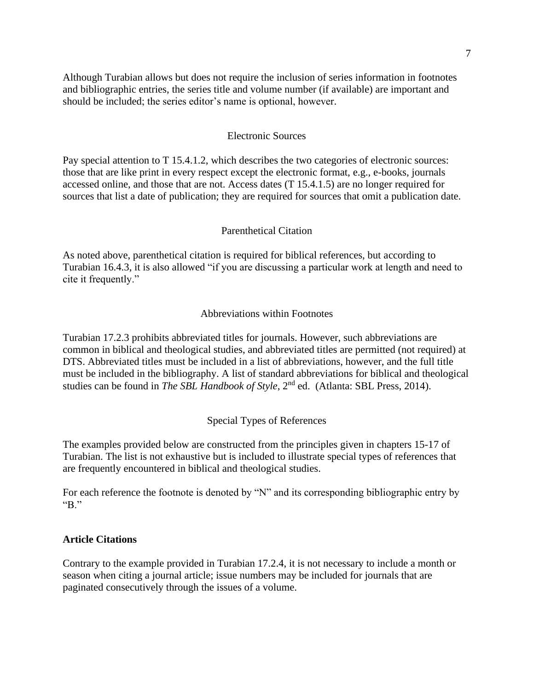Although Turabian allows but does not require the inclusion of series information in footnotes and bibliographic entries, the series title and volume number (if available) are important and should be included; the series editor's name is optional, however.

#### Electronic Sources

Pay special attention to T 15.4.1.2, which describes the two categories of electronic sources: those that are like print in every respect except the electronic format, e.g., e-books, journals accessed online, and those that are not. Access dates (T 15.4.1.5) are no longer required for sources that list a date of publication; they are required for sources that omit a publication date.

#### Parenthetical Citation

As noted above, parenthetical citation is required for biblical references, but according to Turabian 16.4.3, it is also allowed "if you are discussing a particular work at length and need to cite it frequently."

#### Abbreviations within Footnotes

Turabian 17.2.3 prohibits abbreviated titles for journals. However, such abbreviations are common in biblical and theological studies, and abbreviated titles are permitted (not required) at DTS. Abbreviated titles must be included in a list of abbreviations, however, and the full title must be included in the bibliography. A list of standard abbreviations for biblical and theological studies can be found in *The SBL Handbook of Style*, 2nd ed. (Atlanta: SBL Press, 2014).

#### Special Types of References

The examples provided below are constructed from the principles given in chapters 15-17 of Turabian. The list is not exhaustive but is included to illustrate special types of references that are frequently encountered in biblical and theological studies.

For each reference the footnote is denoted by "N" and its corresponding bibliographic entry by "B."

## **Article Citations**

Contrary to the example provided in Turabian 17.2.4, it is not necessary to include a month or season when citing a journal article; issue numbers may be included for journals that are paginated consecutively through the issues of a volume.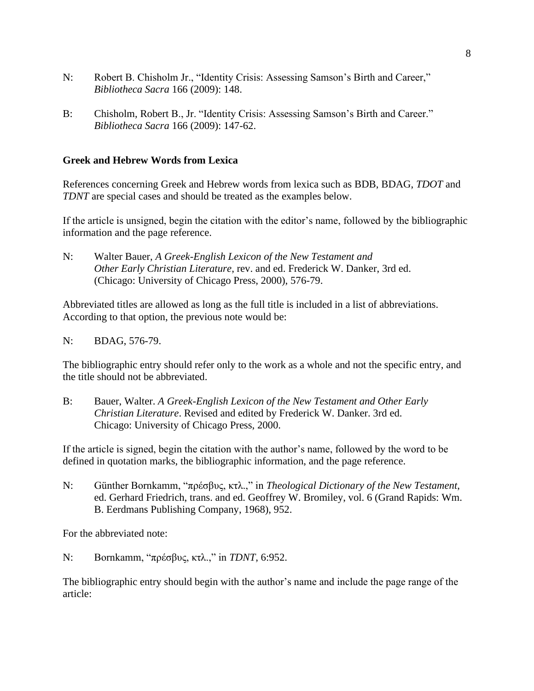- N: Robert B. Chisholm Jr., "Identity Crisis: Assessing Samson's Birth and Career," *Bibliotheca Sacra* 166 (2009): 148.
- B: Chisholm, Robert B., Jr. "Identity Crisis: Assessing Samson's Birth and Career." *Bibliotheca Sacra* 166 (2009): 147-62.

## **Greek and Hebrew Words from Lexica**

References concerning Greek and Hebrew words from lexica such as BDB, BDAG, *TDOT* and *TDNT* are special cases and should be treated as the examples below.

If the article is unsigned, begin the citation with the editor's name, followed by the bibliographic information and the page reference.

N: Walter Bauer, *A Greek-English Lexicon of the New Testament and Other Early Christian Literature*, rev. and ed. Frederick W. Danker, 3rd ed. (Chicago: University of Chicago Press, 2000), 576-79.

Abbreviated titles are allowed as long as the full title is included in a list of abbreviations. According to that option, the previous note would be:

## N: BDAG, 576-79.

The bibliographic entry should refer only to the work as a whole and not the specific entry, and the title should not be abbreviated.

B: Bauer, Walter. *A Greek-English Lexicon of the New Testament and Other Early Christian Literature*. Revised and edited by Frederick W. Danker. 3rd ed. Chicago: University of Chicago Press, 2000.

If the article is signed, begin the citation with the author's name, followed by the word to be defined in quotation marks, the bibliographic information, and the page reference.

N: Günther Bornkamm, "πρέσβυς, κτλ.," in *Theological Dictionary of the New Testament*, ed. Gerhard Friedrich, trans. and ed. Geoffrey W. Bromiley, vol. 6 (Grand Rapids: Wm. B. Eerdmans Publishing Company, 1968), 952.

For the abbreviated note:

N: Bornkamm, "πρέσβυς, κτλ.," in *TDNT*, 6:952.

The bibliographic entry should begin with the author's name and include the page range of the article: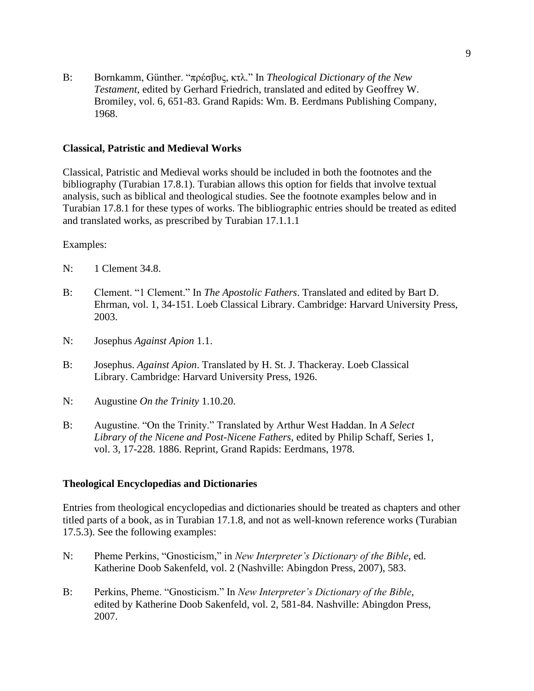B: Bornkamm, Günther. "πρέσβυς, κτλ." In *Theological Dictionary of the New Testament*, edited by Gerhard Friedrich, translated and edited by Geoffrey W. Bromiley, vol. 6, 651-83. Grand Rapids: Wm. B. Eerdmans Publishing Company, 1968.

## **Classical, Patristic and Medieval Works**

Classical, Patristic and Medieval works should be included in both the footnotes and the bibliography (Turabian 17.8.1). Turabian allows this option for fields that involve textual analysis, such as biblical and theological studies. See the footnote examples below and in Turabian 17.8.1 for these types of works. The bibliographic entries should be treated as edited and translated works, as prescribed by Turabian 17.1.1.1

Examples:

- N: 1 Clement 34.8.
- B: Clement. "1 Clement." In *The Apostolic Fathers*. Translated and edited by Bart D. Ehrman, vol. 1, 34-151. Loeb Classical Library. Cambridge: Harvard University Press, 2003.
- N: Josephus *Against Apion* 1.1.
- B: Josephus. *Against Apion*. Translated by H. St. J. Thackeray. Loeb Classical Library. Cambridge: Harvard University Press, 1926.
- N: Augustine *On the Trinity* 1.10.20.
- B: Augustine. "On the Trinity." Translated by Arthur West Haddan. In *A Select Library of the Nicene and Post-Nicene Fathers*, edited by Philip Schaff, Series 1, vol. 3, 17-228. 1886. Reprint, Grand Rapids: Eerdmans, 1978.

### **Theological Encyclopedias and Dictionaries**

Entries from theological encyclopedias and dictionaries should be treated as chapters and other titled parts of a book, as in Turabian 17.1.8, and not as well-known reference works (Turabian 17.5.3). See the following examples:

- N: Pheme Perkins, "Gnosticism," in *New Interpreter's Dictionary of the Bible*, ed. Katherine Doob Sakenfeld, vol. 2 (Nashville: Abingdon Press, 2007), 583.
- B: Perkins, Pheme. "Gnosticism." In *New Interpreter's Dictionary of the Bible*, edited by Katherine Doob Sakenfeld, vol. 2, 581-84. Nashville: Abingdon Press, 2007.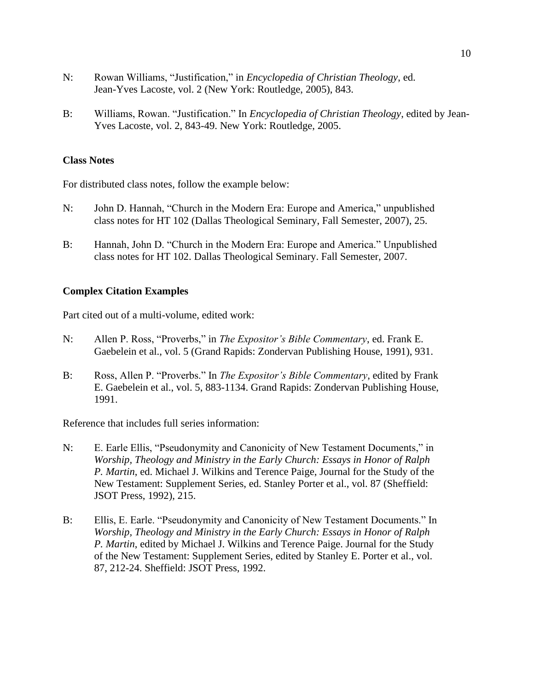- N: Rowan Williams, "Justification," in *Encyclopedia of Christian Theology*, ed. Jean-Yves Lacoste, vol. 2 (New York: Routledge, 2005), 843.
- B: Williams, Rowan. "Justification." In *Encyclopedia of Christian Theology*, edited by Jean-Yves Lacoste, vol. 2, 843-49. New York: Routledge, 2005.

## **Class Notes**

For distributed class notes, follow the example below:

- N: John D. Hannah, "Church in the Modern Era: Europe and America," unpublished class notes for HT 102 (Dallas Theological Seminary, Fall Semester, 2007), 25.
- B: Hannah, John D. "Church in the Modern Era: Europe and America." Unpublished class notes for HT 102. Dallas Theological Seminary. Fall Semester, 2007.

#### **Complex Citation Examples**

Part cited out of a multi-volume, edited work:

- N: Allen P. Ross, "Proverbs," in *The Expositor's Bible Commentary*, ed. Frank E. Gaebelein et al., vol. 5 (Grand Rapids: Zondervan Publishing House, 1991), 931.
- B: Ross, Allen P. "Proverbs." In *The Expositor's Bible Commentary*, edited by Frank E. Gaebelein et al., vol. 5, 883-1134. Grand Rapids: Zondervan Publishing House, 1991.

Reference that includes full series information:

- N: E. Earle Ellis, "Pseudonymity and Canonicity of New Testament Documents," in *Worship, Theology and Ministry in the Early Church: Essays in Honor of Ralph P. Martin*, ed. Michael J. Wilkins and Terence Paige, Journal for the Study of the New Testament: Supplement Series, ed. Stanley Porter et al., vol. 87 (Sheffield: JSOT Press, 1992), 215.
- B: Ellis, E. Earle. "Pseudonymity and Canonicity of New Testament Documents." In *Worship, Theology and Ministry in the Early Church: Essays in Honor of Ralph P. Martin*, edited by Michael J. Wilkins and Terence Paige. Journal for the Study of the New Testament: Supplement Series, edited by Stanley E. Porter et al., vol. 87, 212-24. Sheffield: JSOT Press, 1992.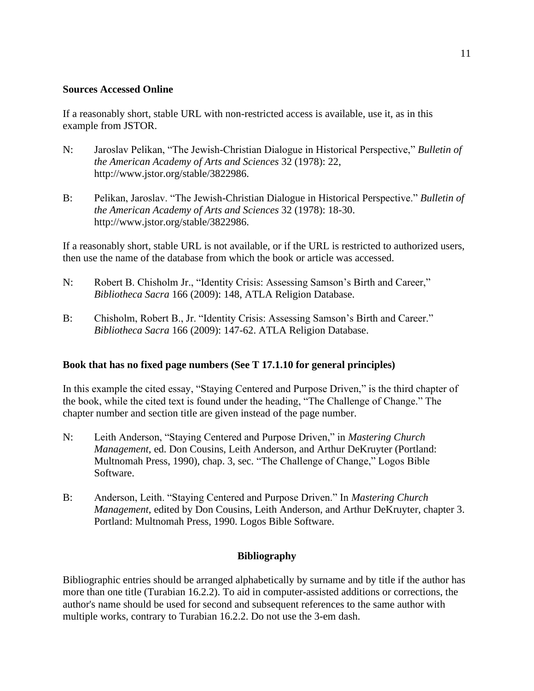## **Sources Accessed Online**

If a reasonably short, stable URL with non-restricted access is available, use it, as in this example from JSTOR.

- N: Jaroslav Pelikan, "The Jewish-Christian Dialogue in Historical Perspective," *Bulletin of the American Academy of Arts and Sciences* 32 (1978): 22, http://www.jstor.org/stable/3822986.
- B: Pelikan, Jaroslav. "The Jewish-Christian Dialogue in Historical Perspective." *Bulletin of the American Academy of Arts and Sciences* 32 (1978): 18-30. http://www.jstor.org/stable/3822986.

If a reasonably short, stable URL is not available, or if the URL is restricted to authorized users, then use the name of the database from which the book or article was accessed.

- N: Robert B. Chisholm Jr., "Identity Crisis: Assessing Samson's Birth and Career," *Bibliotheca Sacra* 166 (2009): 148, ATLA Religion Database.
- B: Chisholm, Robert B., Jr. "Identity Crisis: Assessing Samson's Birth and Career." *Bibliotheca Sacra* 166 (2009): 147-62. ATLA Religion Database.

## **Book that has no fixed page numbers (See T 17.1.10 for general principles)**

In this example the cited essay, "Staying Centered and Purpose Driven," is the third chapter of the book, while the cited text is found under the heading, "The Challenge of Change." The chapter number and section title are given instead of the page number.

- N: Leith Anderson, "Staying Centered and Purpose Driven," in *Mastering Church Management*, ed. Don Cousins, Leith Anderson, and Arthur DeKruyter (Portland: Multnomah Press, 1990), chap. 3, sec. "The Challenge of Change," Logos Bible Software.
- B: Anderson, Leith. "Staying Centered and Purpose Driven." In *Mastering Church Management*, edited by Don Cousins, Leith Anderson, and Arthur DeKruyter, chapter 3. Portland: Multnomah Press, 1990. Logos Bible Software.

## **Bibliography**

Bibliographic entries should be arranged alphabetically by surname and by title if the author has more than one title (Turabian 16.2.2). To aid in computer-assisted additions or corrections, the author's name should be used for second and subsequent references to the same author with multiple works, contrary to Turabian 16.2.2. Do not use the 3-em dash.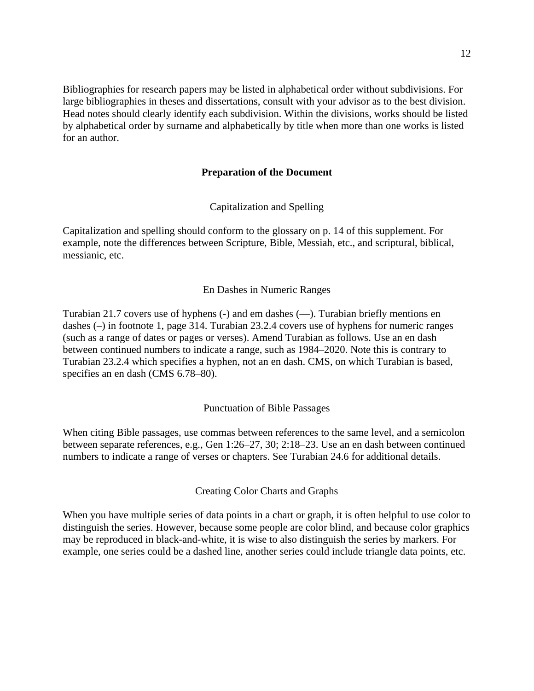Bibliographies for research papers may be listed in alphabetical order without subdivisions. For large bibliographies in theses and dissertations, consult with your advisor as to the best division. Head notes should clearly identify each subdivision. Within the divisions, works should be listed by alphabetical order by surname and alphabetically by title when more than one works is listed for an author.

## **Preparation of the Document**

Capitalization and Spelling

Capitalization and spelling should conform to the glossary on p. 14 of this supplement. For example, note the differences between Scripture, Bible, Messiah, etc., and scriptural, biblical, messianic, etc.

## En Dashes in Numeric Ranges

Turabian 21.7 covers use of hyphens (-) and em dashes (—). Turabian briefly mentions en dashes (–) in footnote 1, page 314. Turabian 23.2.4 covers use of hyphens for numeric ranges (such as a range of dates or pages or verses). Amend Turabian as follows. Use an en dash between continued numbers to indicate a range, such as 1984–2020. Note this is contrary to Turabian 23.2.4 which specifies a hyphen, not an en dash. CMS, on which Turabian is based, specifies an en dash (CMS 6.78–80).

### Punctuation of Bible Passages

When citing Bible passages, use commas between references to the same level, and a semicolon between separate references, e.g., Gen 1:26–27, 30; 2:18–23. Use an en dash between continued numbers to indicate a range of verses or chapters. See Turabian 24.6 for additional details.

Creating Color Charts and Graphs

When you have multiple series of data points in a chart or graph, it is often helpful to use color to distinguish the series. However, because some people are color blind, and because color graphics may be reproduced in black-and-white, it is wise to also distinguish the series by markers. For example, one series could be a dashed line, another series could include triangle data points, etc.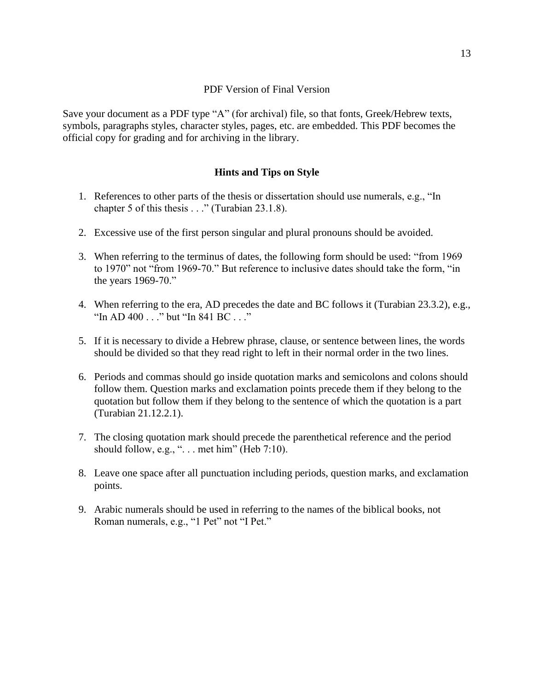## PDF Version of Final Version

Save your document as a PDF type "A" (for archival) file, so that fonts, Greek/Hebrew texts, symbols, paragraphs styles, character styles, pages, etc. are embedded. This PDF becomes the official copy for grading and for archiving in the library.

## **Hints and Tips on Style**

- 1. References to other parts of the thesis or dissertation should use numerals, e.g., "In chapter 5 of this thesis . . ." (Turabian 23.1.8).
- 2. Excessive use of the first person singular and plural pronouns should be avoided.
- 3. When referring to the terminus of dates, the following form should be used: "from 1969 to 1970" not "from 1969-70." But reference to inclusive dates should take the form, "in the years 1969-70."
- 4. When referring to the era, AD precedes the date and BC follows it (Turabian 23.3.2), e.g., "In AD 400 . . ." but "In 841 BC . . ."
- 5. If it is necessary to divide a Hebrew phrase, clause, or sentence between lines, the words should be divided so that they read right to left in their normal order in the two lines.
- 6. Periods and commas should go inside quotation marks and semicolons and colons should follow them. Question marks and exclamation points precede them if they belong to the quotation but follow them if they belong to the sentence of which the quotation is a part (Turabian 21.12.2.1).
- 7. The closing quotation mark should precede the parenthetical reference and the period should follow, e.g., " $\dots$  met him" (Heb 7:10).
- 8. Leave one space after all punctuation including periods, question marks, and exclamation points.
- 9. Arabic numerals should be used in referring to the names of the biblical books, not Roman numerals, e.g., "1 Pet" not "I Pet."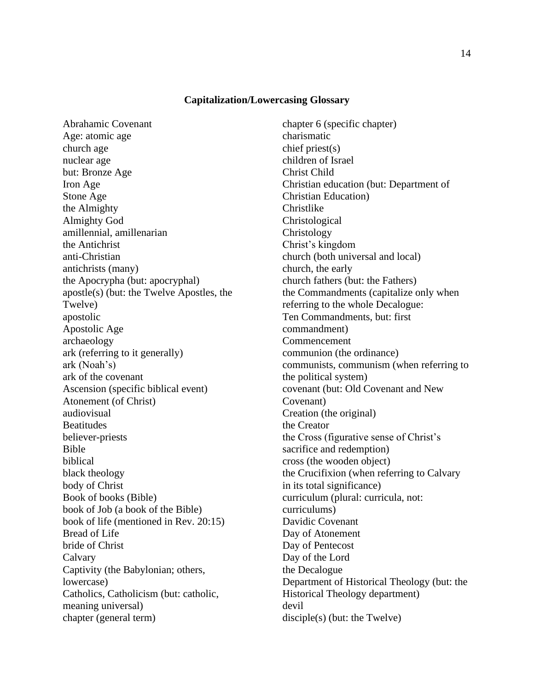#### **Capitalization/Lowercasing Glossary**

Abrahamic Covenant Age: atomic age church age nuclear age but: Bronze Age Iron Age Stone Age the Almighty Almighty God amillennial, amillenarian the Antichrist anti-Christian antichrists (many) the Apocrypha (but: apocryphal) apostle(s) (but: the Twelve Apostles, the Twelve) apostolic Apostolic Age archaeology ark (referring to it generally) ark (Noah's) ark of the covenant Ascension (specific biblical event) Atonement (of Christ) audiovisual Beatitudes believer-priests Bible biblical black theology body of Christ Book of books (Bible) book of Job (a book of the Bible) book of life (mentioned in Rev. 20:15) Bread of Life bride of Christ Calvary Captivity (the Babylonian; others, lowercase) Catholics, Catholicism (but: catholic, meaning universal) chapter (general term)

chapter 6 (specific chapter) charismatic chief priest(s) children of Israel Christ Child Christian education (but: Department of Christian Education) Christlike Christological Christology Christ's kingdom church (both universal and local) church, the early church fathers (but: the Fathers) the Commandments (capitalize only when referring to the whole Decalogue: Ten Commandments, but: first commandment) Commencement communion (the ordinance) communists, communism (when referring to the political system) covenant (but: Old Covenant and New Covenant) Creation (the original) the Creator the Cross (figurative sense of Christ's sacrifice and redemption) cross (the wooden object) the Crucifixion (when referring to Calvary in its total significance) curriculum (plural: curricula, not: curriculums) Davidic Covenant Day of Atonement Day of Pentecost Day of the Lord the Decalogue Department of Historical Theology (but: the Historical Theology department) devil disciple(s) (but: the Twelve)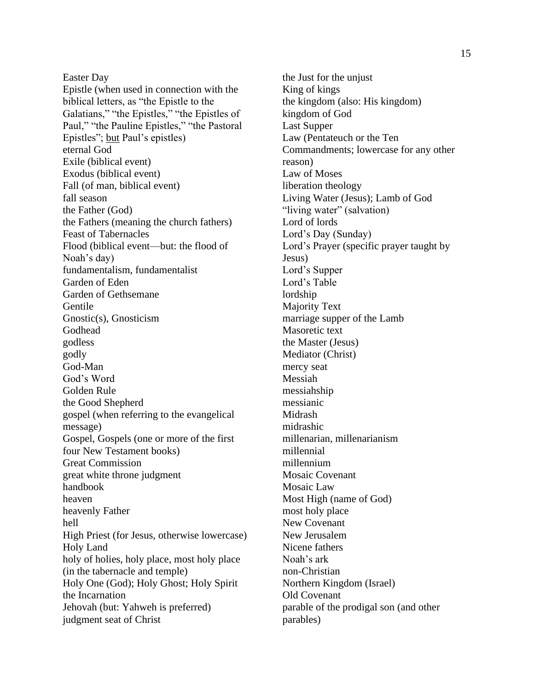Easter Day Epistle (when used in connection with the biblical letters, as "the Epistle to the Galatians," "the Epistles," "the Epistles of Paul," "the Pauline Epistles," "the Pastoral Epistles"; but Paul's epistles) eternal God Exile (biblical event) Exodus (biblical event) Fall (of man, biblical event) fall season the Father (God) the Fathers (meaning the church fathers) Feast of Tabernacles Flood (biblical event—but: the flood of Noah's day) fundamentalism, fundamentalist Garden of Eden Garden of Gethsemane **Gentile** Gnostic(s), Gnosticism Godhead godless godly God-Man God's Word Golden Rule the Good Shepherd gospel (when referring to the evangelical message) Gospel, Gospels (one or more of the first four New Testament books) Great Commission great white throne judgment handbook heaven heavenly Father hell High Priest (for Jesus, otherwise lowercase) Holy Land holy of holies, holy place, most holy place (in the tabernacle and temple) Holy One (God); Holy Ghost; Holy Spirit the Incarnation Jehovah (but: Yahweh is preferred) judgment seat of Christ

the Just for the unjust King of kings the kingdom (also: His kingdom) kingdom of God Last Supper Law (Pentateuch or the Ten Commandments; lowercase for any other reason) Law of Moses liberation theology Living Water (Jesus); Lamb of God "living water" (salvation) Lord of lords Lord's Day (Sunday) Lord's Prayer (specific prayer taught by Jesus) Lord's Supper Lord's Table lordship Majority Text marriage supper of the Lamb Masoretic text the Master (Jesus) Mediator (Christ) mercy seat Messiah messiahship messianic Midrash midrashic millenarian, millenarianism millennial millennium Mosaic Covenant Mosaic Law Most High (name of God) most holy place New Covenant New Jerusalem Nicene fathers Noah's ark non-Christian Northern Kingdom (Israel) Old Covenant parable of the prodigal son (and other parables)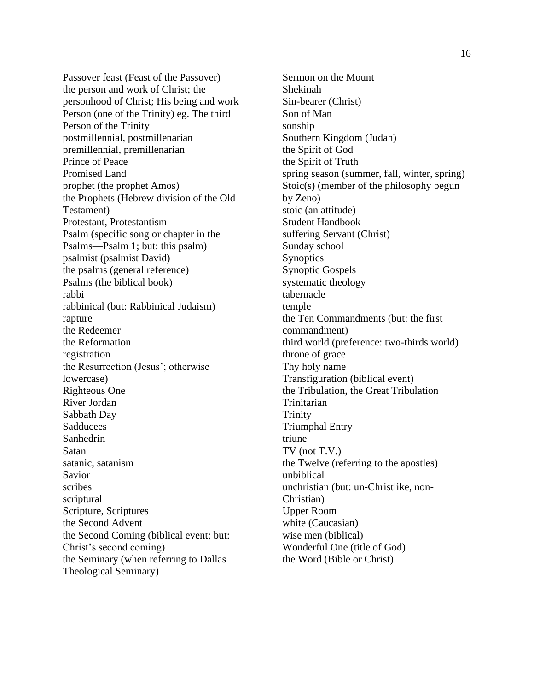Passover feast (Feast of the Passover) the person and work of Christ; the personhood of Christ; His being and work Person (one of the Trinity) eg. The third Person of the Trinity postmillennial, postmillenarian premillennial, premillenarian Prince of Peace Promised Land prophet (the prophet Amos) the Prophets (Hebrew division of the Old Testament) Protestant, Protestantism Psalm (specific song or chapter in the Psalms—Psalm 1; but: this psalm) psalmist (psalmist David) the psalms (general reference) Psalms (the biblical book) rabbi rabbinical (but: Rabbinical Judaism) rapture the Redeemer the Reformation registration the Resurrection (Jesus'; otherwise lowercase) Righteous One River Jordan Sabbath Day Sadducees Sanhedrin Satan satanic, satanism Savior scribes scriptural Scripture, Scriptures the Second Advent the Second Coming (biblical event; but: Christ's second coming) the Seminary (when referring to Dallas Theological Seminary)

Sermon on the Mount Shekinah Sin-bearer (Christ) Son of Man sonship Southern Kingdom (Judah) the Spirit of God the Spirit of Truth spring season (summer, fall, winter, spring) Stoic(s) (member of the philosophy begun by Zeno) stoic (an attitude) Student Handbook suffering Servant (Christ) Sunday school **Synoptics** Synoptic Gospels systematic theology tabernacle temple the Ten Commandments (but: the first commandment) third world (preference: two-thirds world) throne of grace Thy holy name Transfiguration (biblical event) the Tribulation, the Great Tribulation Trinitarian Trinity Triumphal Entry triune TV (not T.V.) the Twelve (referring to the apostles) unbiblical unchristian (but: un-Christlike, non-Christian) Upper Room white (Caucasian) wise men (biblical) Wonderful One (title of God) the Word (Bible or Christ)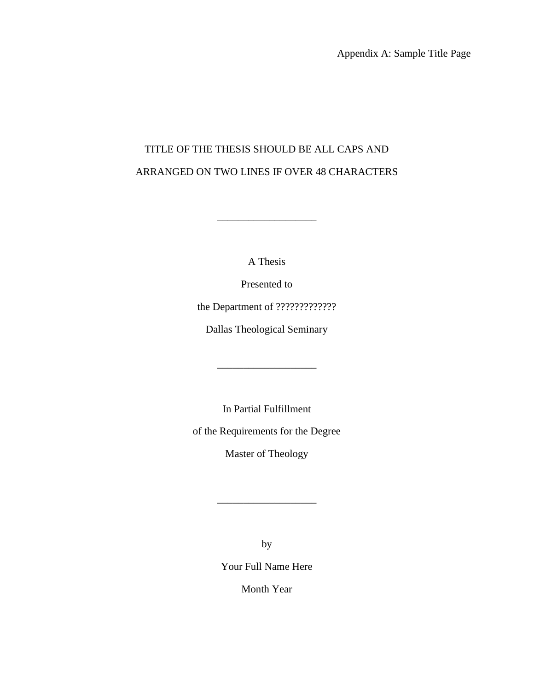Appendix A: Sample Title Page

# TITLE OF THE THESIS SHOULD BE ALL CAPS AND ARRANGED ON TWO LINES IF OVER 48 CHARACTERS

A Thesis

\_\_\_\_\_\_\_\_\_\_\_\_\_\_\_\_\_\_\_

Presented to

the Department of ?????????????

Dallas Theological Seminary

\_\_\_\_\_\_\_\_\_\_\_\_\_\_\_\_\_\_\_

In Partial Fulfillment

of the Requirements for the Degree

Master of Theology

\_\_\_\_\_\_\_\_\_\_\_\_\_\_\_\_\_\_\_

by

Your Full Name Here

Month Year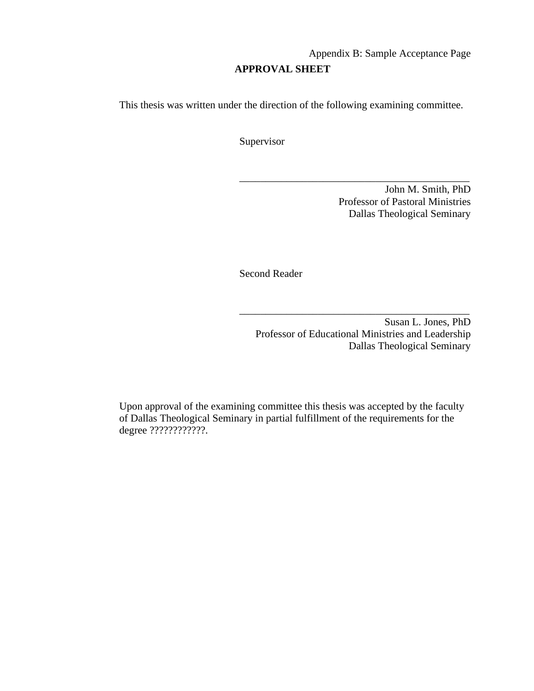# Appendix B: Sample Acceptance Page **APPROVAL SHEET**

\_\_\_\_\_\_\_\_\_\_\_\_\_\_\_\_\_\_\_\_\_\_\_\_\_\_\_\_\_\_\_\_\_\_\_\_\_\_\_\_\_\_\_\_

This thesis was written under the direction of the following examining committee.

Supervisor

John M. Smith, PhD Professor of Pastoral Ministries Dallas Theological Seminary

Second Reader

Susan L. Jones, PhD Professor of Educational Ministries and Leadership Dallas Theological Seminary

\_\_\_\_\_\_\_\_\_\_\_\_\_\_\_\_\_\_\_\_\_\_\_\_\_\_\_\_\_\_\_\_\_\_\_\_\_\_\_\_\_\_\_\_

Upon approval of the examining committee this thesis was accepted by the faculty of Dallas Theological Seminary in partial fulfillment of the requirements for the degree ?????????????.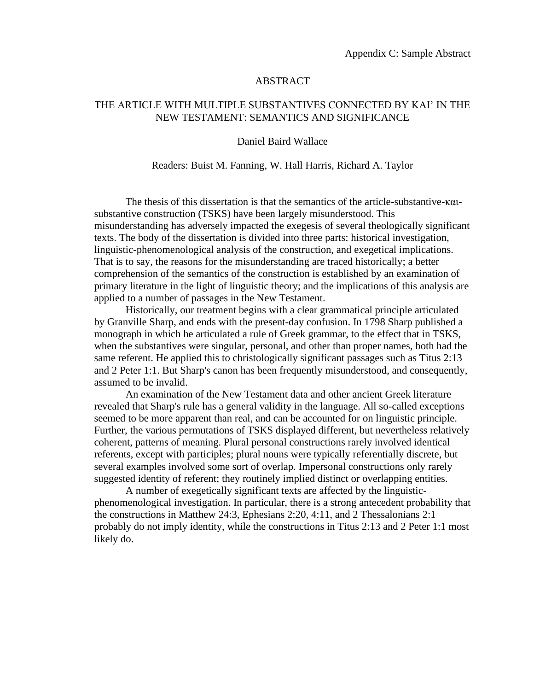## ABSTRACT

## THE ARTICLE WITH MULTIPLE SUBSTANTIVES CONNECTED BY KAI' IN THE NEW TESTAMENT: SEMANTICS AND SIGNIFICANCE

#### Daniel Baird Wallace

#### Readers: Buist M. Fanning, W. Hall Harris, Richard A. Taylor

The thesis of this dissertation is that the semantics of the article-substantive-καιsubstantive construction (TSKS) have been largely misunderstood. This misunderstanding has adversely impacted the exegesis of several theologically significant texts. The body of the dissertation is divided into three parts: historical investigation, linguistic-phenomenological analysis of the construction, and exegetical implications. That is to say, the reasons for the misunderstanding are traced historically; a better comprehension of the semantics of the construction is established by an examination of primary literature in the light of linguistic theory; and the implications of this analysis are applied to a number of passages in the New Testament.

Historically, our treatment begins with a clear grammatical principle articulated by Granville Sharp, and ends with the present-day confusion. In 1798 Sharp published a monograph in which he articulated a rule of Greek grammar, to the effect that in TSKS, when the substantives were singular, personal, and other than proper names, both had the same referent. He applied this to christologically significant passages such as Titus 2:13 and 2 Peter 1:1. But Sharp's canon has been frequently misunderstood, and consequently, assumed to be invalid.

An examination of the New Testament data and other ancient Greek literature revealed that Sharp's rule has a general validity in the language. All so-called exceptions seemed to be more apparent than real, and can be accounted for on linguistic principle. Further, the various permutations of TSKS displayed different, but nevertheless relatively coherent, patterns of meaning. Plural personal constructions rarely involved identical referents, except with participles; plural nouns were typically referentially discrete, but several examples involved some sort of overlap. Impersonal constructions only rarely suggested identity of referent; they routinely implied distinct or overlapping entities.

A number of exegetically significant texts are affected by the linguisticphenomenological investigation. In particular, there is a strong antecedent probability that the constructions in Matthew 24:3, Ephesians 2:20, 4:11, and 2 Thessalonians 2:1 probably do not imply identity, while the constructions in Titus 2:13 and 2 Peter 1:1 most likely do.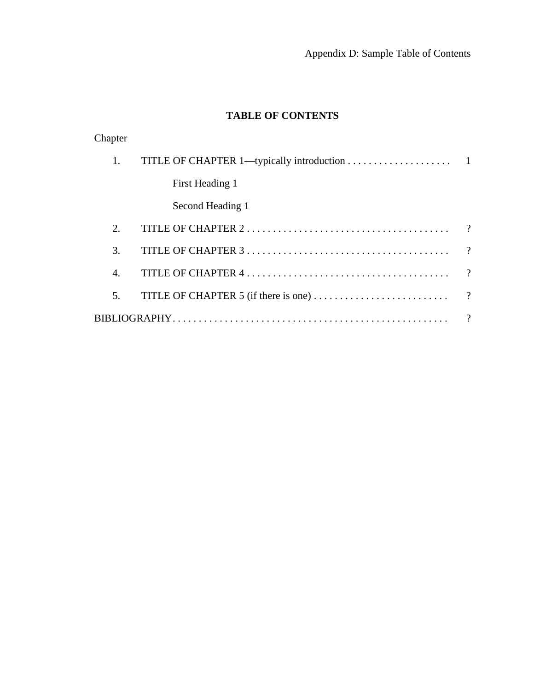# **TABLE OF CONTENTS**

| Chapter          |                  |          |
|------------------|------------------|----------|
| 1.               |                  |          |
|                  | First Heading 1  |          |
|                  | Second Heading 1 |          |
| 2.               |                  | $\gamma$ |
| 3.               |                  | $\gamma$ |
| $\overline{4}$ . |                  | $\gamma$ |
| 5.               |                  |          |
|                  |                  | $\gamma$ |